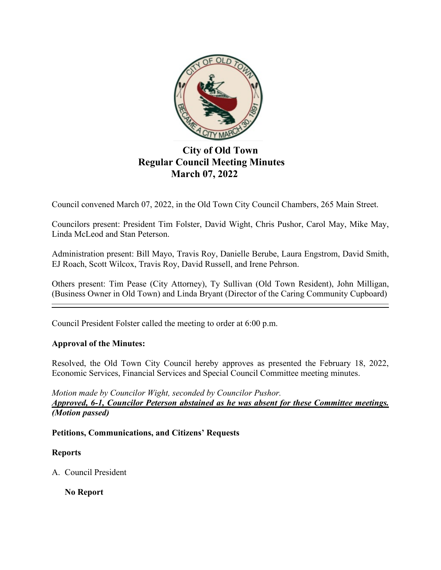

# **City of Old Town Regular Council Meeting Minutes March 07, 2022**

Council convened March 07, 2022, in the Old Town City Council Chambers, 265 Main Street.

Councilors present: President Tim Folster, David Wight, Chris Pushor, Carol May, Mike May, Linda McLeod and Stan Peterson.

Administration present: Bill Mayo, Travis Roy, Danielle Berube, Laura Engstrom, David Smith, EJ Roach, Scott Wilcox, Travis Roy, David Russell, and Irene Pehrson.

Others present: Tim Pease (City Attorney), Ty Sullivan (Old Town Resident), John Milligan, (Business Owner in Old Town) and Linda Bryant (Director of the Caring Community Cupboard)

Council President Folster called the meeting to order at 6:00 p.m.

## **Approval of the Minutes:**

Resolved, the Old Town City Council hereby approves as presented the February 18, 2022, Economic Services, Financial Services and Special Council Committee meeting minutes.

*Motion made by Councilor Wight, seconded by Councilor Pushor. Approved, 6-1, Councilor Peterson abstained as he was absent for these Committee meetings. (Motion passed)*

#### **Petitions, Communications, and Citizens' Requests**

#### **Reports**

A. Council President

**No Report**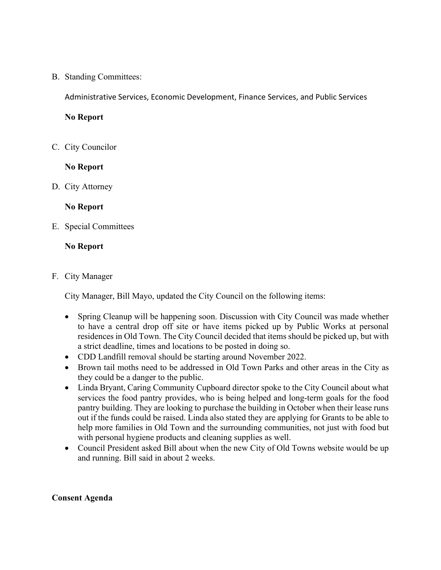B. Standing Committees:

Administrative Services, Economic Development, Finance Services, and Public Services

**No Report**

C. City Councilor

**No Report**

D. City Attorney

#### **No Report**

E. Special Committees

#### **No Report**

#### F. City Manager

City Manager, Bill Mayo, updated the City Council on the following items:

- Spring Cleanup will be happening soon. Discussion with City Council was made whether to have a central drop off site or have items picked up by Public Works at personal residences in Old Town. The City Council decided that items should be picked up, but with a strict deadline, times and locations to be posted in doing so.
- CDD Landfill removal should be starting around November 2022.
- Brown tail moths need to be addressed in Old Town Parks and other areas in the City as they could be a danger to the public.
- Linda Bryant, Caring Community Cupboard director spoke to the City Council about what services the food pantry provides, who is being helped and long-term goals for the food pantry building. They are looking to purchase the building in October when their lease runs out if the funds could be raised. Linda also stated they are applying for Grants to be able to help more families in Old Town and the surrounding communities, not just with food but with personal hygiene products and cleaning supplies as well.
- Council President asked Bill about when the new City of Old Towns website would be up and running. Bill said in about 2 weeks.

#### **Consent Agenda**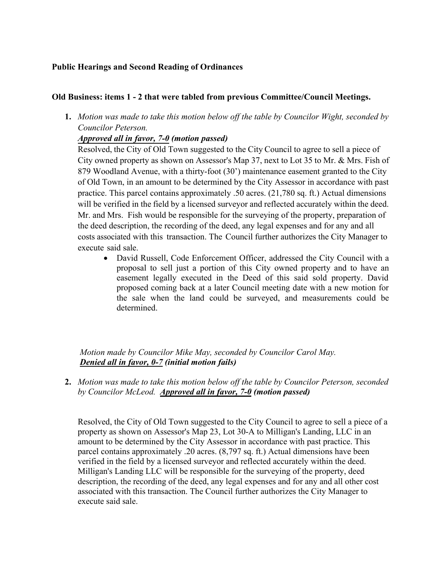## **Public Hearings and Second Reading of Ordinances**

#### **Old Business: items 1 - 2 that were tabled from previous Committee/Council Meetings.**

**1.** *Motion was made to take this motion below off the table by Councilor Wight, seconded by Councilor Peterson.*

## *Approved all in favor, 7-0 (motion passed)*

Resolved, the City of Old Town suggested to the City Council to agree to sell a piece of City owned property as shown on Assessor's Map 37, next to Lot 35 to Mr. & Mrs. Fish of 879 Woodland Avenue, with a thirty-foot (30') maintenance easement granted to the City of Old Town, in an amount to be determined by the City Assessor in accordance with past practice. This parcel contains approximately .50 acres. (21,780 sq. ft.) Actual dimensions will be verified in the field by a licensed surveyor and reflected accurately within the deed. Mr. and Mrs. Fish would be responsible for the surveying of the property, preparation of the deed description, the recording of the deed, any legal expenses and for any and all costs associated with this transaction. The Council further authorizes the City Manager to execute said sale.

• David Russell, Code Enforcement Officer, addressed the City Council with a proposal to sell just a portion of this City owned property and to have an easement legally executed in the Deed of this said sold property. David proposed coming back at a later Council meeting date with a new motion for the sale when the land could be surveyed, and measurements could be determined.

*Motion made by Councilor Mike May, seconded by Councilor Carol May. Denied all in favor, 0-7 (initial motion fails)* 

**2.** *Motion was made to take this motion below off the table by Councilor Peterson, seconded by Councilor McLeod. Approved all in favor, 7-0 (motion passed)*

 Resolved, the City of Old Town suggested to the City Council to agree to sell a piece of a property as shown on Assessor's Map 23, Lot 30-A to Milligan's Landing, LLC in an amount to be determined by the City Assessor in accordance with past practice. This parcel contains approximately .20 acres. (8,797 sq. ft.) Actual dimensions have been verified in the field by a licensed surveyor and reflected accurately within the deed. Milligan's Landing LLC will be responsible for the surveying of the property, deed description, the recording of the deed, any legal expenses and for any and all other cost associated with this transaction. The Council further authorizes the City Manager to execute said sale.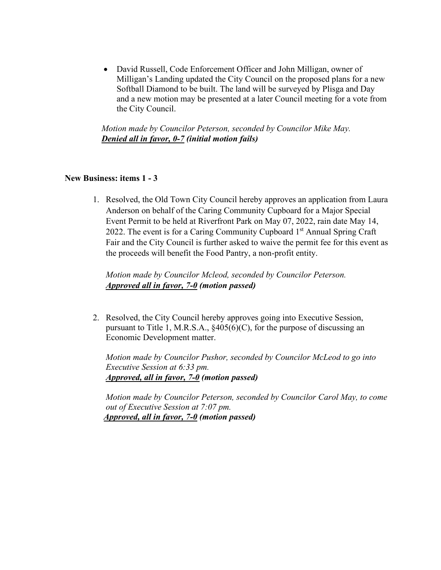• David Russell, Code Enforcement Officer and John Milligan, owner of Milligan's Landing updated the City Council on the proposed plans for a new Softball Diamond to be built. The land will be surveyed by Plisga and Day and a new motion may be presented at a later Council meeting for a vote from the City Council.

 *Motion made by Councilor Peterson, seconded by Councilor Mike May. Denied all in favor, 0-7 (initial motion fails)*

#### **New Business: items 1 - 3**

1. Resolved, the Old Town City Council hereby approves an application from Laura Anderson on behalf of the Caring Community Cupboard for a Major Special Event Permit to be held at Riverfront Park on May 07, 2022, rain date May 14, 2022. The event is for a Caring Community Cupboard  $1<sup>st</sup>$  Annual Spring Craft Fair and the City Council is further asked to waive the permit fee for this event as the proceeds will benefit the Food Pantry, a non-profit entity.

*Motion made by Councilor Mcleod, seconded by Councilor Peterson. Approved all in favor, 7-0 (motion passed)* 

2. Resolved, the City Council hereby approves going into Executive Session, pursuant to Title 1, M.R.S.A.,  $§405(6)(C)$ , for the purpose of discussing an Economic Development matter.

 *Motion made by Councilor Pushor, seconded by Councilor McLeod to go into Executive Session at 6:33 pm. Approved, all in favor, 7-0 (motion passed)*

 *Motion made by Councilor Peterson, seconded by Councilor Carol May, to come out of Executive Session at 7:07 pm. Approved, all in favor, 7-0 (motion passed)*